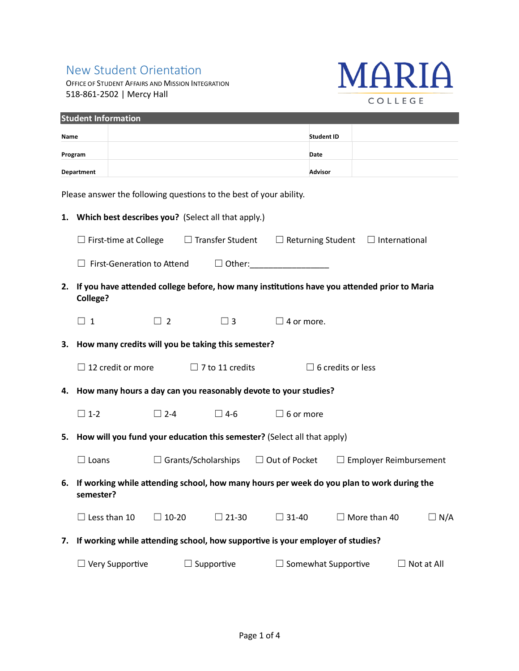## New Student Orientation

OFFICE OF STUDENT AFFAIRS AND MISSION INTEGRATION 518-861-2502 | Mercy Hall



| <b>Student Information</b>                                                 |                                                                      |                                                                                               |  |                                                                                                                                                    |                                                                                                                                                                                                                                                |                                                                                                                                                                                                                                                                                                                                                                   |  |
|----------------------------------------------------------------------------|----------------------------------------------------------------------|-----------------------------------------------------------------------------------------------|--|----------------------------------------------------------------------------------------------------------------------------------------------------|------------------------------------------------------------------------------------------------------------------------------------------------------------------------------------------------------------------------------------------------|-------------------------------------------------------------------------------------------------------------------------------------------------------------------------------------------------------------------------------------------------------------------------------------------------------------------------------------------------------------------|--|
| Name                                                                       |                                                                      |                                                                                               |  |                                                                                                                                                    |                                                                                                                                                                                                                                                |                                                                                                                                                                                                                                                                                                                                                                   |  |
| Program                                                                    |                                                                      |                                                                                               |  |                                                                                                                                                    |                                                                                                                                                                                                                                                |                                                                                                                                                                                                                                                                                                                                                                   |  |
| <b>Department</b>                                                          |                                                                      |                                                                                               |  |                                                                                                                                                    |                                                                                                                                                                                                                                                |                                                                                                                                                                                                                                                                                                                                                                   |  |
|                                                                            |                                                                      |                                                                                               |  |                                                                                                                                                    |                                                                                                                                                                                                                                                |                                                                                                                                                                                                                                                                                                                                                                   |  |
|                                                                            |                                                                      |                                                                                               |  |                                                                                                                                                    |                                                                                                                                                                                                                                                |                                                                                                                                                                                                                                                                                                                                                                   |  |
| Which best describes you? (Select all that apply.)<br>1.                   |                                                                      |                                                                                               |  |                                                                                                                                                    |                                                                                                                                                                                                                                                |                                                                                                                                                                                                                                                                                                                                                                   |  |
|                                                                            |                                                                      | $\Box$ Transfer Student<br>$\Box$ Returning Student $\Box$ International                      |  |                                                                                                                                                    |                                                                                                                                                                                                                                                |                                                                                                                                                                                                                                                                                                                                                                   |  |
|                                                                            |                                                                      |                                                                                               |  |                                                                                                                                                    |                                                                                                                                                                                                                                                |                                                                                                                                                                                                                                                                                                                                                                   |  |
|                                                                            |                                                                      |                                                                                               |  |                                                                                                                                                    |                                                                                                                                                                                                                                                |                                                                                                                                                                                                                                                                                                                                                                   |  |
| <b>College?</b>                                                            |                                                                      |                                                                                               |  |                                                                                                                                                    |                                                                                                                                                                                                                                                |                                                                                                                                                                                                                                                                                                                                                                   |  |
| $\Box$ 1                                                                   | $\Box$ 2                                                             | $\Box$ 3                                                                                      |  |                                                                                                                                                    |                                                                                                                                                                                                                                                |                                                                                                                                                                                                                                                                                                                                                                   |  |
|                                                                            |                                                                      |                                                                                               |  |                                                                                                                                                    |                                                                                                                                                                                                                                                |                                                                                                                                                                                                                                                                                                                                                                   |  |
|                                                                            |                                                                      |                                                                                               |  |                                                                                                                                                    |                                                                                                                                                                                                                                                |                                                                                                                                                                                                                                                                                                                                                                   |  |
|                                                                            |                                                                      |                                                                                               |  |                                                                                                                                                    |                                                                                                                                                                                                                                                |                                                                                                                                                                                                                                                                                                                                                                   |  |
|                                                                            |                                                                      |                                                                                               |  |                                                                                                                                                    |                                                                                                                                                                                                                                                |                                                                                                                                                                                                                                                                                                                                                                   |  |
| $\Box$ 1-2                                                                 | $\Box$ 2-4                                                           | $\Box$ 4-6                                                                                    |  |                                                                                                                                                    |                                                                                                                                                                                                                                                |                                                                                                                                                                                                                                                                                                                                                                   |  |
| 5. How will you fund your education this semester? (Select all that apply) |                                                                      |                                                                                               |  |                                                                                                                                                    |                                                                                                                                                                                                                                                |                                                                                                                                                                                                                                                                                                                                                                   |  |
| $\Box$ Loans                                                               |                                                                      |                                                                                               |  |                                                                                                                                                    |                                                                                                                                                                                                                                                |                                                                                                                                                                                                                                                                                                                                                                   |  |
|                                                                            |                                                                      |                                                                                               |  |                                                                                                                                                    |                                                                                                                                                                                                                                                |                                                                                                                                                                                                                                                                                                                                                                   |  |
| semester?                                                                  |                                                                      |                                                                                               |  |                                                                                                                                                    |                                                                                                                                                                                                                                                |                                                                                                                                                                                                                                                                                                                                                                   |  |
| $\Box$ Less than 10                                                        | $\Box$ 10-20                                                         | $\Box$ 21-30                                                                                  |  |                                                                                                                                                    |                                                                                                                                                                                                                                                | $\Box$ N/A                                                                                                                                                                                                                                                                                                                                                        |  |
|                                                                            |                                                                      |                                                                                               |  |                                                                                                                                                    |                                                                                                                                                                                                                                                |                                                                                                                                                                                                                                                                                                                                                                   |  |
| $\Box$ Very Supportive                                                     | $\Box$ Supportive<br>$\Box$ Somewhat Supportive<br>$\Box$ Not at All |                                                                                               |  |                                                                                                                                                    |                                                                                                                                                                                                                                                |                                                                                                                                                                                                                                                                                                                                                                   |  |
|                                                                            |                                                                      | $\Box$ First-time at College<br>$\Box$ First-Generation to Attend<br>$\Box$ 12 credit or more |  | Please answer the following questions to the best of your ability.<br>How many credits will you be taking this semester?<br>$\Box$ 7 to 11 credits | <b>Student ID</b><br>Date<br><b>Advisor</b><br>$\Box$ Other:<br>$\Box$ 4 or more.<br>4. How many hours a day can you reasonably devote to your studies?<br>$\Box$ 6 or more<br>$\Box$ Grants/Scholarships $\Box$ Out of Pocket<br>$\Box$ 31-40 | If you have attended college before, how many institutions have you attended prior to Maria<br>$\Box$ 6 credits or less<br>$\Box$ Employer Reimbursement<br>6. If working while attending school, how many hours per week do you plan to work during the<br>$\Box$ More than 40<br>If working while attending school, how supportive is your employer of studies? |  |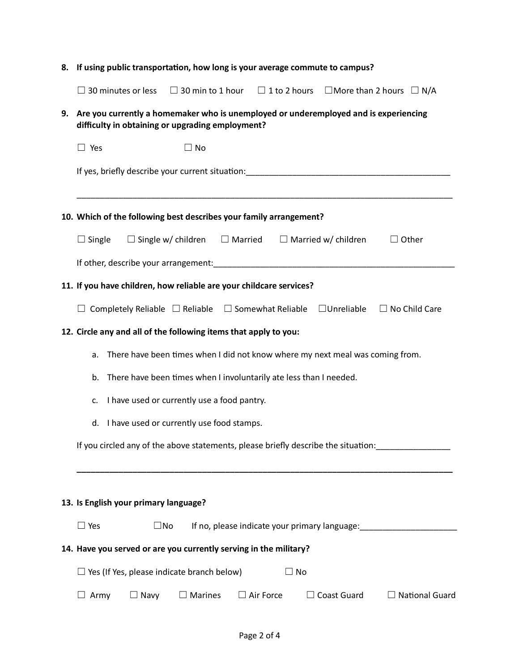| 8. | If using public transportation, how long is your average commute to campus?                                                              |  |  |  |  |  |  |  |
|----|------------------------------------------------------------------------------------------------------------------------------------------|--|--|--|--|--|--|--|
|    | $\Box$ 30 minutes or less<br>$\Box$ 30 min to 1 hour $\Box$ 1 to 2 hours $\Box$ More than 2 hours $\Box$ N/A                             |  |  |  |  |  |  |  |
| 9. | Are you currently a homemaker who is unemployed or underemployed and is experiencing<br>difficulty in obtaining or upgrading employment? |  |  |  |  |  |  |  |
|    | $\Box$ Yes<br>$\Box$ No                                                                                                                  |  |  |  |  |  |  |  |
|    | If yes, briefly describe your current situation:________________________________                                                         |  |  |  |  |  |  |  |
|    |                                                                                                                                          |  |  |  |  |  |  |  |
|    | 10. Which of the following best describes your family arrangement?                                                                       |  |  |  |  |  |  |  |
|    | $\Box$ Single<br>$\Box$ Single w/ children<br>$\Box$ Married<br>$\Box$ Married w/ children<br>$\Box$ Other                               |  |  |  |  |  |  |  |
|    | If other, describe your arrangement: entitled and all the control of the control of the control of the control of                        |  |  |  |  |  |  |  |
|    | 11. If you have children, how reliable are your childcare services?                                                                      |  |  |  |  |  |  |  |
|    | $\Box$ Unreliable<br>$\Box$ No Child Care<br>$\Box$ Completely Reliable $\Box$ Reliable $\Box$ Somewhat Reliable                         |  |  |  |  |  |  |  |
|    | 12. Circle any and all of the following items that apply to you:                                                                         |  |  |  |  |  |  |  |
|    | There have been times when I did not know where my next meal was coming from.<br>a.                                                      |  |  |  |  |  |  |  |
|    | There have been times when I involuntarily ate less than I needed.<br>b.                                                                 |  |  |  |  |  |  |  |
|    | I have used or currently use a food pantry.<br>c.                                                                                        |  |  |  |  |  |  |  |
|    | I have used or currently use food stamps.<br>d.                                                                                          |  |  |  |  |  |  |  |
|    | If you circled any of the above statements, please briefly describe the situation:                                                       |  |  |  |  |  |  |  |
|    |                                                                                                                                          |  |  |  |  |  |  |  |
|    | 13. Is English your primary language?                                                                                                    |  |  |  |  |  |  |  |
|    | $\Box$ Yes<br>If no, please indicate your primary language:<br>$\square$ No                                                              |  |  |  |  |  |  |  |
|    | 14. Have you served or are you currently serving in the military?                                                                        |  |  |  |  |  |  |  |
|    | $\Box$ Yes (If Yes, please indicate branch below)<br>$\Box$ No                                                                           |  |  |  |  |  |  |  |
|    | $\Box$ Navy<br>$\exists$ Marines<br>$\Box$ Air Force<br>$\Box$ Coast Guard<br>$\Box$ National Guard<br>Army                              |  |  |  |  |  |  |  |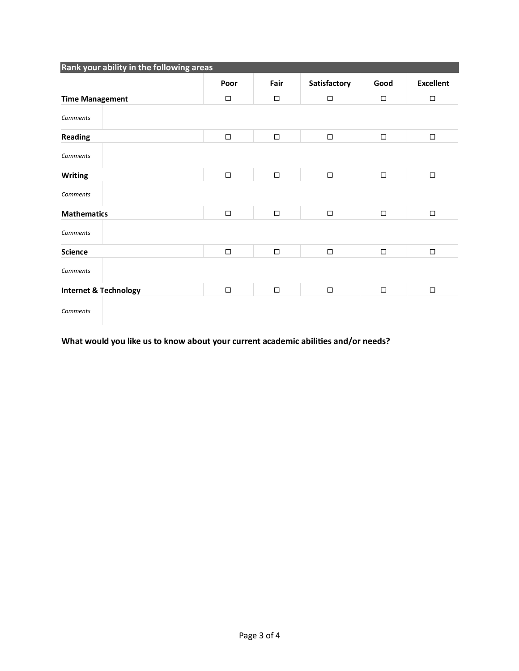| Rank your ability in the following areas |        |        |              |        |                  |  |
|------------------------------------------|--------|--------|--------------|--------|------------------|--|
|                                          | Poor   | Fair   | Satisfactory | Good   | <b>Excellent</b> |  |
| <b>Time Management</b>                   | $\Box$ | $\Box$ | $\Box$       | $\Box$ | $\Box$           |  |
| <b>Comments</b>                          |        |        |              |        |                  |  |
| <b>Reading</b>                           | $\Box$ | $\Box$ | $\Box$       | $\Box$ | $\Box$           |  |
| <b>Comments</b>                          |        |        |              |        |                  |  |
| <b>Writing</b>                           | $\Box$ | $\Box$ | $\Box$       | $\Box$ | $\Box$           |  |
| <b>Comments</b>                          |        |        |              |        |                  |  |
| <b>Mathematics</b>                       | $\Box$ | $\Box$ | $\Box$       | $\Box$ | $\Box$           |  |
| <b>Comments</b>                          |        |        |              |        |                  |  |
| <b>Science</b>                           | $\Box$ | $\Box$ | $\Box$       | $\Box$ | $\Box$           |  |
| <b>Comments</b>                          |        |        |              |        |                  |  |
| <b>Internet &amp; Technology</b>         | $\Box$ | $\Box$ | $\Box$       | $\Box$ | $\Box$           |  |
| <b>Comments</b>                          |        |        |              |        |                  |  |

What would you like us to know about your current academic abilities and/or needs?